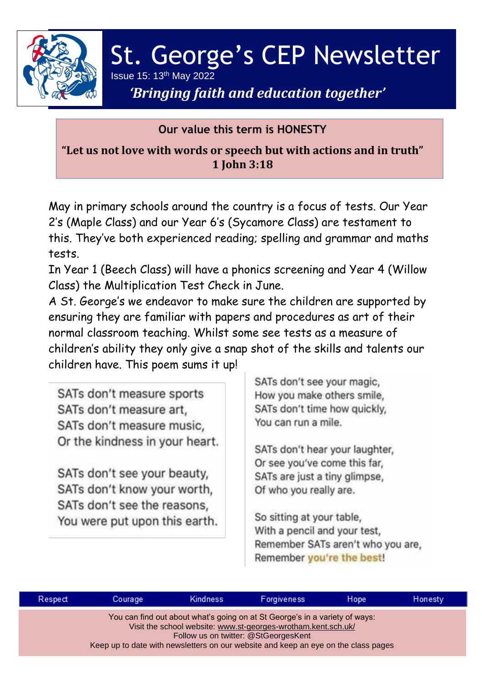

# St. George's CEP Newsletter Issue 15:  $13<sup>th</sup>$  May 2022

# *'Bringing faith and education together'*

## **Our value this term is HONESTY**

**"Let us not love with words or speech but with actions and in truth" 1 John 3:18**

May in primary schools around the country is a focus of tests. Our Year 2's (Maple Class) and our Year 6's (Sycamore Class) are testament to this. They've both experienced reading; spelling and grammar and maths tests.

In Year 1 (Beech Class) will have a phonics screening and Year 4 (Willow Class) the Multiplication Test Check in June.

A St. George's we endeavor to make sure the children are supported by ensuring they are familiar with papers and procedures as art of their normal classroom teaching. Whilst some see tests as a measure of children's ability they only give a snap shot of the skills and talents our children have. This poem sums it up!

SATs don't measure sports SATs don't measure art, SATs don't measure music, Or the kindness in your heart.

SATs don't see your beauty, SATs don't know your worth, SATs don't see the reasons, You were put upon this earth. SATs don't see your magic, How you make others smile. SATs don't time how quickly, You can run a mile.

SATs don't hear your laughter, Or see you've come this far, SATs are just a tiny glimpse, Of who you really are.

So sitting at your table, With a pencil and your test, Remember SATs aren't who you are, Remember you're the best!

| Respect                                                                                                                                                                                                                                                                    | Courage | <b>Kindness</b> | Forgiveness | Hope | Honesty |  |  |  |  |
|----------------------------------------------------------------------------------------------------------------------------------------------------------------------------------------------------------------------------------------------------------------------------|---------|-----------------|-------------|------|---------|--|--|--|--|
| You can find out about what's going on at St George's in a variety of ways:<br>Visit the school website: www.st-georges-wrotham.kent.sch.uk/<br>Follow us on twitter: @StGeorgesKent<br>Keep up to date with newsletters on our website and keep an eye on the class pages |         |                 |             |      |         |  |  |  |  |